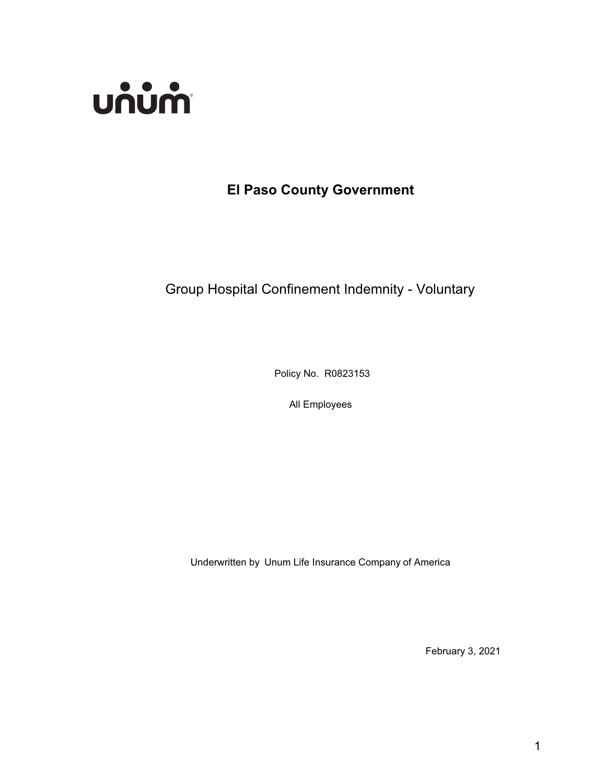

# **El Paso County Government**

# Group Hospital Confinement Indemnity - Voluntary

Policy No. R0823153

All Employees

Underwritten by Unum Life Insurance Company of America

February 3, 2021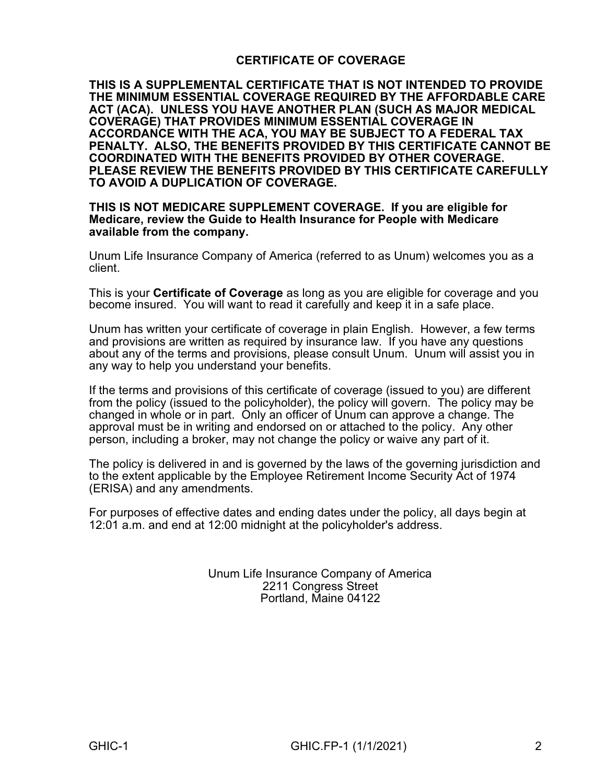### **CERTIFICATE OF COVERAGE**

**THIS IS A SUPPLEMENTAL CERTIFICATE THAT IS NOT INTENDED TO PROVIDE THE MINIMUM ESSENTIAL COVERAGE REQUIRED BY THE AFFORDABLE CARE ACT (ACA). UNLESS YOU HAVE ANOTHER PLAN (SUCH AS MAJOR MEDICAL COVERAGE) THAT PROVIDES MINIMUM ESSENTIAL COVERAGE IN ACCORDANCE WITH THE ACA, YOU MAY BE SUBJECT TO A FEDERAL TAX PENALTY. ALSO, THE BENEFITS PROVIDED BY THIS CERTIFICATE CANNOT BE COORDINATED WITH THE BENEFITS PROVIDED BY OTHER COVERAGE. PLEASE REVIEW THE BENEFITS PROVIDED BY THIS CERTIFICATE CAREFULLY TO AVOID A DUPLICATION OF COVERAGE.** 

#### **THIS IS NOT MEDICARE SUPPLEMENT COVERAGE. If you are eligible for Medicare, review the Guide to Health Insurance for People with Medicare available from the company.**

Unum Life Insurance Company of America (referred to as Unum) welcomes you as a client.

This is your **Certificate of Coverage** as long as you are eligible for coverage and you become insured. You will want to read it carefully and keep it in a safe place.

Unum has written your certificate of coverage in plain English. However, a few terms and provisions are written as required by insurance law. If you have any questions about any of the terms and provisions, please consult Unum. Unum will assist you in any way to help you understand your benefits.

If the terms and provisions of this certificate of coverage (issued to you) are different from the policy (issued to the policyholder), the policy will govern. The policy may be changed in whole or in part. Only an officer of Unum can approve a change. The approval must be in writing and endorsed on or attached to the policy. Any other person, including a broker, may not change the policy or waive any part of it.

The policy is delivered in and is governed by the laws of the governing jurisdiction and to the extent applicable by the Employee Retirement Income Security Act of 1974 (ERISA) and any amendments.

For purposes of effective dates and ending dates under the policy, all days begin at 12:01 a.m. and end at 12:00 midnight at the policyholder's address.

> Unum Life Insurance Company of America 2211 Congress Street Portland, Maine 04122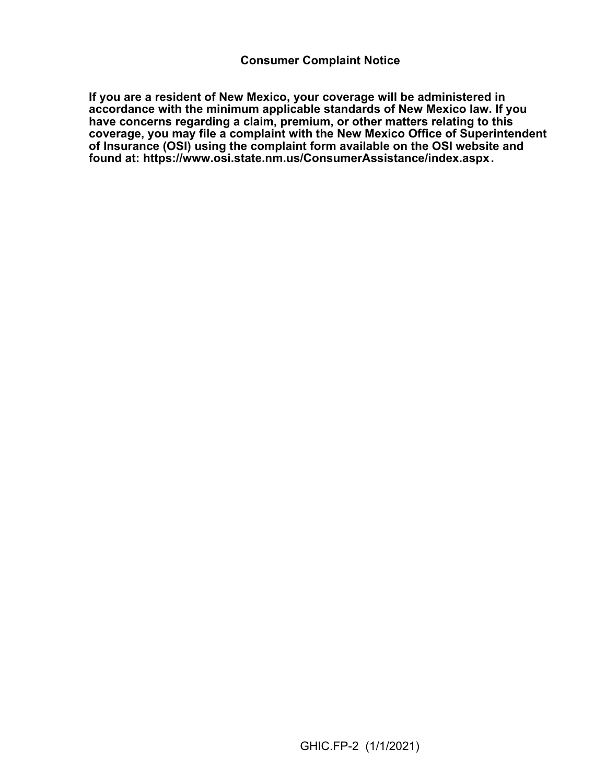**If you are a resident of New Mexico, your coverage will be administered in accordance with the minimum applicable standards of New Mexico law. If you have concerns regarding a claim, premium, or other matters relating to this coverage, you may file a complaint with the New Mexico Office of Superintendent of Insurance (OSI) using the complaint form available on the OSI website and found at: <https://www.osi.state.nm.us/ConsumerAssistance/index.aspx>.**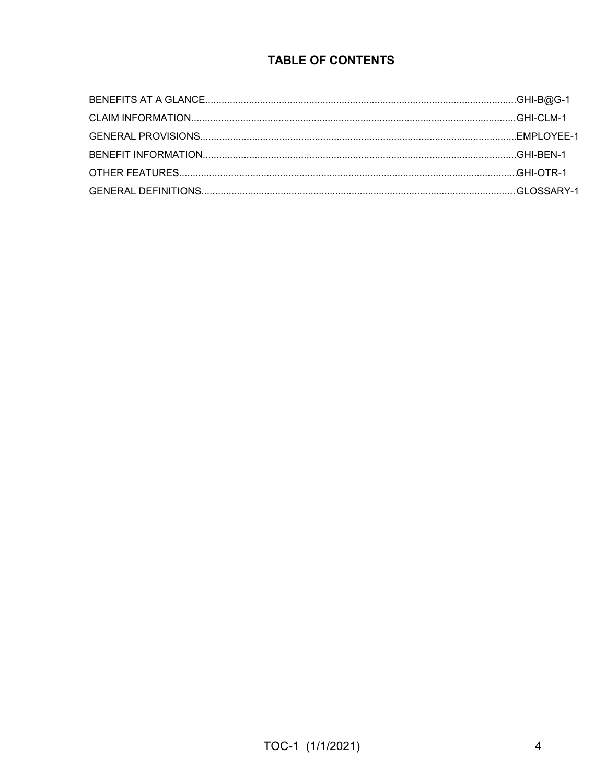### **TABLE OF CONTENTS**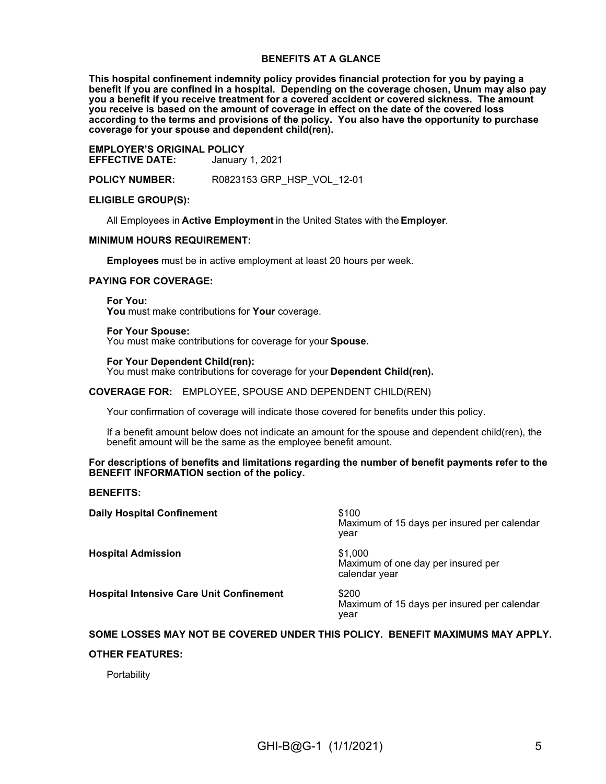#### **BENEFITS AT A GLANCE**

**This hospital confinement indemnity policy provides financial protection for you by paying a benefit if you are confined in a hospital. Depending on the coverage chosen, Unum may also pay you a benefit if you receive treatment for a covered accident or covered sickness. The amount you receive is based on the amount of coverage in effect on the date of the covered loss according to the terms and provisions of the policy. You also have the opportunity to purchase coverage for your spouse and dependent child(ren).**

**EMPLOYER'S ORIGINAL POLICY EFFECTIVE DATE:** January 1, 2021

**POLICY NUMBER:** R0823153 GRP\_HSP\_VOL\_12-01

#### **ELIGIBLE GROUP(S):**

All Employees in **Active Employment** in the United States with the **Employer**.

#### **MINIMUM HOURS REQUIREMENT:**

**Employees** must be in active employment at least 20 hours per week.

#### **PAYING FOR COVERAGE:**

**For You:**

**You** must make contributions for **Your** coverage.

#### **For Your Spouse:**

You must make contributions for coverage for your **Spouse.**

#### **For Your Dependent Child(ren):**

You must make contributions for coverage for your **Dependent Child(ren).**

#### **COVERAGE FOR:** EMPLOYEE, SPOUSE AND DEPENDENT CHILD(REN)

Your confirmation of coverage will indicate those covered for benefits under this policy.

If a benefit amount below does not indicate an amount for the spouse and dependent child(ren), the benefit amount will be the same as the employee benefit amount.

#### **For descriptions of benefits and limitations regarding the number of benefit payments refer to the BENEFIT INFORMATION section of the policy.**

**BENEFITS:**

| <b>Daily Hospital Confinement</b>               | \$100<br>Maximum of 15 days per insured per calendar<br>year   |
|-------------------------------------------------|----------------------------------------------------------------|
| <b>Hospital Admission</b>                       | \$1,000<br>Maximum of one day per insured per<br>calendar year |
| <b>Hospital Intensive Care Unit Confinement</b> | \$200<br>Maximum of 15 days per insured per calendar<br>year   |

# **SOME LOSSES MAY NOT BE COVERED UNDER THIS POLICY. BENEFIT MAXIMUMS MAY APPLY.**

#### **OTHER FEATURES:**

**Portability**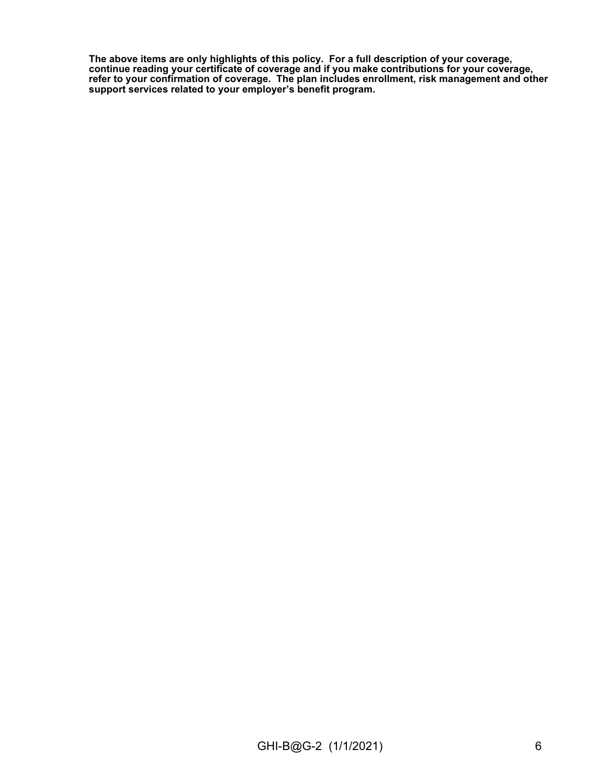**The above items are only highlights of this policy. For a full description of your coverage, continue reading your certificate of coverage and if you make contributions for your coverage, refer to your confirmation of coverage. The plan includes enrollment, risk management and other support services related to your employer's benefit program.**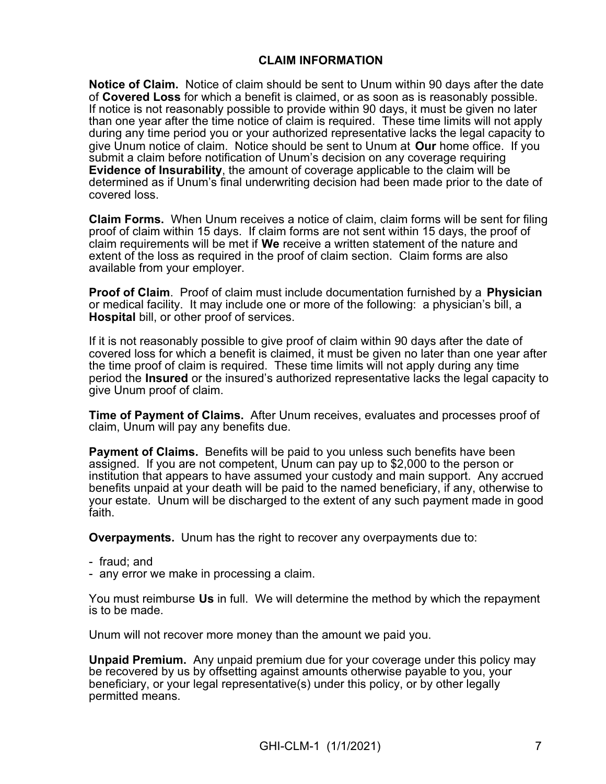### **CLAIM INFORMATION**

**Notice of Claim.** Notice of claim should be sent to Unum within 90 days after the date of **Covered Loss** for which a benefit is claimed, or as soon as is reasonably possible. If notice is not reasonably possible to provide within 90 days, it must be given no later than one year after the time notice of claim is required. These time limits will not apply during any time period you or your authorized representative lacks the legal capacity to give Unum notice of claim. Notice should be sent to Unum at **Our** home office. If you submit a claim before notification of Unum's decision on any coverage requiring **Evidence of Insurability**, the amount of coverage applicable to the claim will be determined as if Unum's final underwriting decision had been made prior to the date of covered loss.

**Claim Forms.** When Unum receives a notice of claim, claim forms will be sent for filing proof of claim within 15 days. If claim forms are not sent within 15 days, the proof of claim requirements will be met if **We** receive a written statement of the nature and extent of the loss as required in the proof of claim section. Claim forms are also available from your employer.

**Proof of Claim**. Proof of claim must include documentation furnished by a **Physician** or medical facility. It may include one or more of the following: a physician's bill, a **Hospital** bill, or other proof of services.

If it is not reasonably possible to give proof of claim within 90 days after the date of covered loss for which a benefit is claimed, it must be given no later than one year after the time proof of claim is required. These time limits will not apply during any time period the **Insured** or the insured's authorized representative lacks the legal capacity to give Unum proof of claim.

**Time of Payment of Claims.** After Unum receives, evaluates and processes proof of claim, Unum will pay any benefits due.

**Payment of Claims.** Benefits will be paid to you unless such benefits have been assigned. If you are not competent, Unum can pay up to \$2,000 to the person or institution that appears to have assumed your custody and main support. Any accrued benefits unpaid at your death will be paid to the named beneficiary, if any, otherwise to your estate. Unum will be discharged to the extent of any such payment made in good faith.

**Overpayments.** Unum has the right to recover any overpayments due to:

- fraud; and
- any error we make in processing a claim.

You must reimburse **Us** in full. We will determine the method by which the repayment is to be made.

Unum will not recover more money than the amount we paid you.

**Unpaid Premium.** Any unpaid premium due for your coverage under this policy may be recovered by us by offsetting against amounts otherwise payable to you, your beneficiary, or your legal representative(s) under this policy, or by other legally permitted means.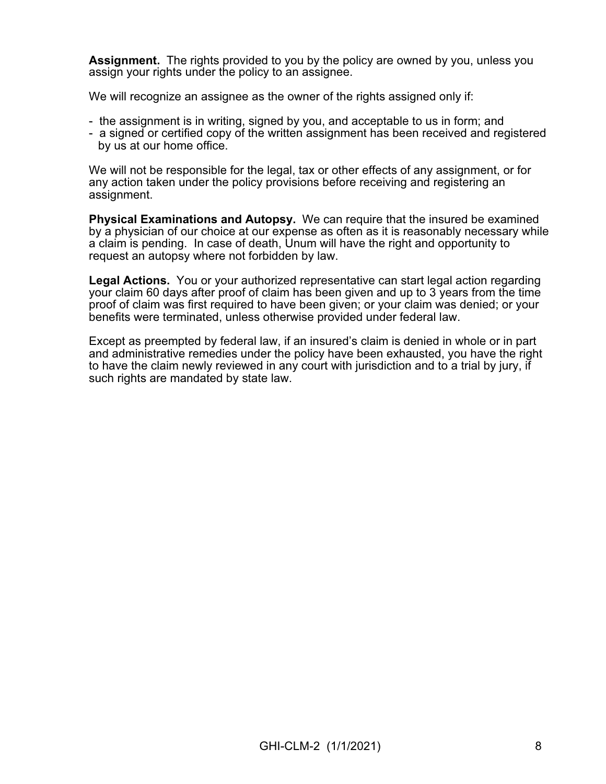**Assignment.** The rights provided to you by the policy are owned by you, unless you assign your rights under the policy to an assignee.

We will recognize an assignee as the owner of the rights assigned only if:

- the assignment is in writing, signed by you, and acceptable to us in form; and
- a signed or certified copy of the written assignment has been received and registered by us at our home office.

We will not be responsible for the legal, tax or other effects of any assignment, or for any action taken under the policy provisions before receiving and registering an assignment.

**Physical Examinations and Autopsy.** We can require that the insured be examined by a physician of our choice at our expense as often as it is reasonably necessary while a claim is pending. In case of death, Unum will have the right and opportunity to request an autopsy where not forbidden by law.

**Legal Actions.** You or your authorized representative can start legal action regarding your claim 60 days after proof of claim has been given and up to 3 years from the time proof of claim was first required to have been given; or your claim was denied; or your benefits were terminated, unless otherwise provided under federal law.

Except as preempted by federal law, if an insured's claim is denied in whole or in part and administrative remedies under the policy have been exhausted, you have the right to have the claim newly reviewed in any court with jurisdiction and to a trial by jury, if such rights are mandated by state law.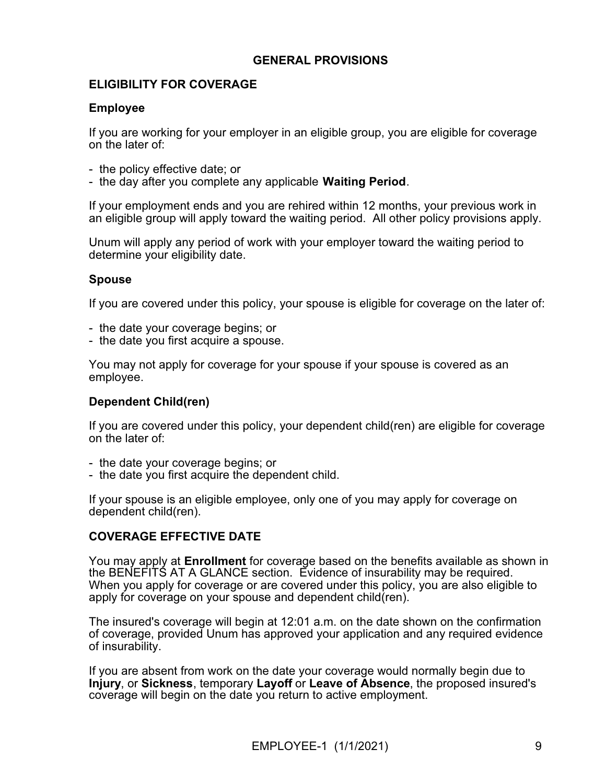### **GENERAL PROVISIONS**

### **ELIGIBILITY FOR COVERAGE**

#### **Employee**

If you are working for your employer in an eligible group, you are eligible for coverage on the later of:

- the policy effective date; or
- the day after you complete any applicable **Waiting Period**.

If your employment ends and you are rehired within 12 months, your previous work in an eligible group will apply toward the waiting period. All other policy provisions apply.

Unum will apply any period of work with your employer toward the waiting period to determine your eligibility date.

### **Spouse**

If you are covered under this policy, your spouse is eligible for coverage on the later of:

- the date your coverage begins; or
- the date you first acquire a spouse.

You may not apply for coverage for your spouse if your spouse is covered as an employee.

### **Dependent Child(ren)**

If you are covered under this policy, your dependent child(ren) are eligible for coverage on the later of:

- the date your coverage begins; or
- the date you first acquire the dependent child.

If your spouse is an eligible employee, only one of you may apply for coverage on dependent child(ren).

### **COVERAGE EFFECTIVE DATE**

You may apply at **Enrollment** for coverage based on the benefits available as shown in the BENEFITS AT A GLANCE section. Evidence of insurability may be required. When you apply for coverage or are covered under this policy, you are also eligible to apply for coverage on your spouse and dependent child(ren).

The insured's coverage will begin at 12:01 a.m. on the date shown on the confirmation of coverage, provided Unum has approved your application and any required evidence of insurability.

If you are absent from work on the date your coverage would normally begin due to **Injury**, or **Sickness**, temporary **Layoff** or **Leave of Absence**, the proposed insured's coverage will begin on the date you return to active employment.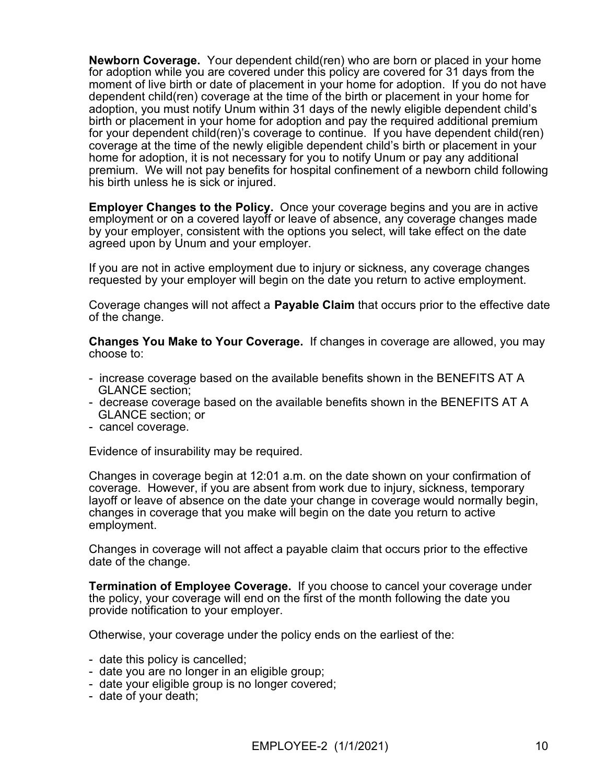**Newborn Coverage.** Your dependent child(ren) who are born or placed in your home for adoption while you are covered under this policy are covered for 31 days from the moment of live birth or date of placement in your home for adoption. If you do not have dependent child(ren) coverage at the time of the birth or placement in your home for adoption, you must notify Unum within 31 days of the newly eligible dependent child's birth or placement in your home for adoption and pay the required additional premium for your dependent child(ren)'s coverage to continue. If you have dependent child(ren) coverage at the time of the newly eligible dependent child's birth or placement in your home for adoption, it is not necessary for you to notify Unum or pay any additional premium. We will not pay benefits for hospital confinement of a newborn child following his birth unless he is sick or injured.

**Employer Changes to the Policy.** Once your coverage begins and you are in active employment or on a covered layoff or leave of absence, any coverage changes made by your employer, consistent with the options you select, will take effect on the date agreed upon by Unum and your employer.

If you are not in active employment due to injury or sickness, any coverage changes requested by your employer will begin on the date you return to active employment.

Coverage changes will not affect a **Payable Claim** that occurs prior to the effective date of the change.

**Changes You Make to Your Coverage.** If changes in coverage are allowed, you may choose to:

- increase coverage based on the available benefits shown in the BENEFITS AT A GLANCE section;
- decrease coverage based on the available benefits shown in the BENEFITS AT A GLANCE section; or
- cancel coverage.

Evidence of insurability may be required.

Changes in coverage begin at 12:01 a.m. on the date shown on your confirmation of coverage. However, if you are absent from work due to injury, sickness, temporary layoff or leave of absence on the date your change in coverage would normally begin, changes in coverage that you make will begin on the date you return to active employment.

Changes in coverage will not affect a payable claim that occurs prior to the effective date of the change.

**Termination of Employee Coverage.** If you choose to cancel your coverage under the policy, your coverage will end on the first of the month following the date you provide notification to your employer.

Otherwise, your coverage under the policy ends on the earliest of the:

- date this policy is cancelled;
- date you are no longer in an eligible group;
- date your eligible group is no longer covered;
- date of your death;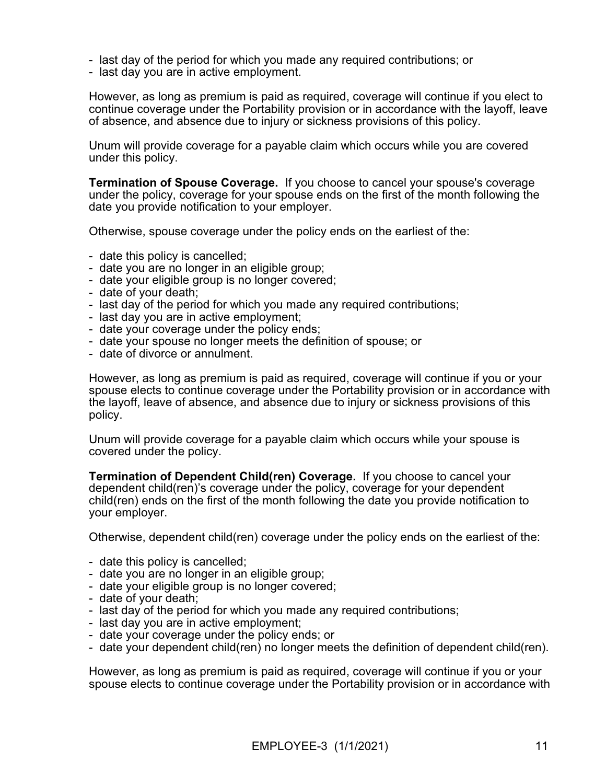- last day of the period for which you made any required contributions; or
- last day you are in active employment.

However, as long as premium is paid as required, coverage will continue if you elect to continue coverage under the Portability provision or in accordance with the layoff, leave of absence, and absence due to injury or sickness provisions of this policy.

Unum will provide coverage for a payable claim which occurs while you are covered under this policy.

**Termination of Spouse Coverage.** If you choose to cancel your spouse's coverage under the policy, coverage for your spouse ends on the first of the month following the date you provide notification to your employer.

Otherwise, spouse coverage under the policy ends on the earliest of the:

- date this policy is cancelled;
- date you are no longer in an eligible group;
- date your eligible group is no longer covered;
- date of your death;
- last day of the period for which you made any required contributions;
- last day you are in active employment;
- date your coverage under the policy ends;
- date your spouse no longer meets the definition of spouse; or
- date of divorce or annulment.

However, as long as premium is paid as required, coverage will continue if you or your spouse elects to continue coverage under the Portability provision or in accordance with the layoff, leave of absence, and absence due to injury or sickness provisions of this policy.

Unum will provide coverage for a payable claim which occurs while your spouse is covered under the policy.

**Termination of Dependent Child(ren) Coverage.** If you choose to cancel your dependent child(ren)'s coverage under the policy, coverage for your dependent child(ren) ends on the first of the month following the date you provide notification to your employer.

Otherwise, dependent child(ren) coverage under the policy ends on the earliest of the:

- date this policy is cancelled;
- date you are no longer in an eligible group;
- date your eligible group is no longer covered;
- date of your death;
- last day of the period for which you made any required contributions;
- last day you are in active employment;
- date your coverage under the policy ends; or
- date your dependent child(ren) no longer meets the definition of dependent child(ren).

However, as long as premium is paid as required, coverage will continue if you or your spouse elects to continue coverage under the Portability provision or in accordance with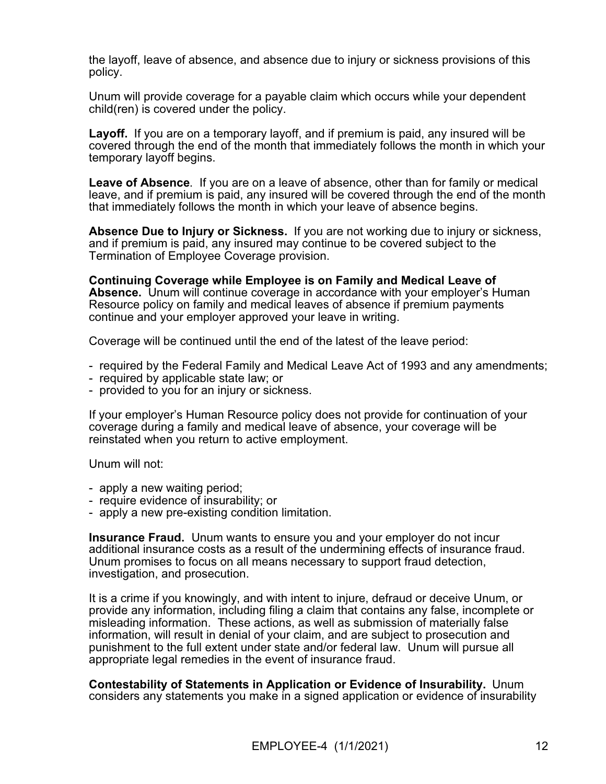the layoff, leave of absence, and absence due to injury or sickness provisions of this policy.

Unum will provide coverage for a payable claim which occurs while your dependent child(ren) is covered under the policy.

**Layoff.** If you are on a temporary layoff, and if premium is paid, any insured will be covered through the end of the month that immediately follows the month in which your temporary layoff begins.

**Leave of Absence**. If you are on a leave of absence, other than for family or medical leave, and if premium is paid, any insured will be covered through the end of the month that immediately follows the month in which your leave of absence begins.

**Absence Due to Injury or Sickness.** If you are not working due to injury or sickness, and if premium is paid, any insured may continue to be covered subject to the Termination of Employee Coverage provision.

**Continuing Coverage while Employee is on Family and Medical Leave of Absence.** Unum will continue coverage in accordance with your employer's Human Resource policy on family and medical leaves of absence if premium payments continue and your employer approved your leave in writing.

Coverage will be continued until the end of the latest of the leave period:

- required by the Federal Family and Medical Leave Act of 1993 and any amendments;
- required by applicable state law; or
- provided to you for an injury or sickness.

If your employer's Human Resource policy does not provide for continuation of your coverage during a family and medical leave of absence, your coverage will be reinstated when you return to active employment.

Unum will not:

- apply a new waiting period;
- require evidence of insurability; or
- apply a new pre-existing condition limitation.

**Insurance Fraud.** Unum wants to ensure you and your employer do not incur additional insurance costs as a result of the undermining effects of insurance fraud. Unum promises to focus on all means necessary to support fraud detection, investigation, and prosecution.

It is a crime if you knowingly, and with intent to injure, defraud or deceive Unum, or provide any information, including filing a claim that contains any false, incomplete or misleading information. These actions, as well as submission of materially false information, will result in denial of your claim, and are subject to prosecution and punishment to the full extent under state and/or federal law. Unum will pursue all appropriate legal remedies in the event of insurance fraud.

**Contestability of Statements in Application or Evidence of Insurability.** Unum considers any statements you make in a signed application or evidence of insurability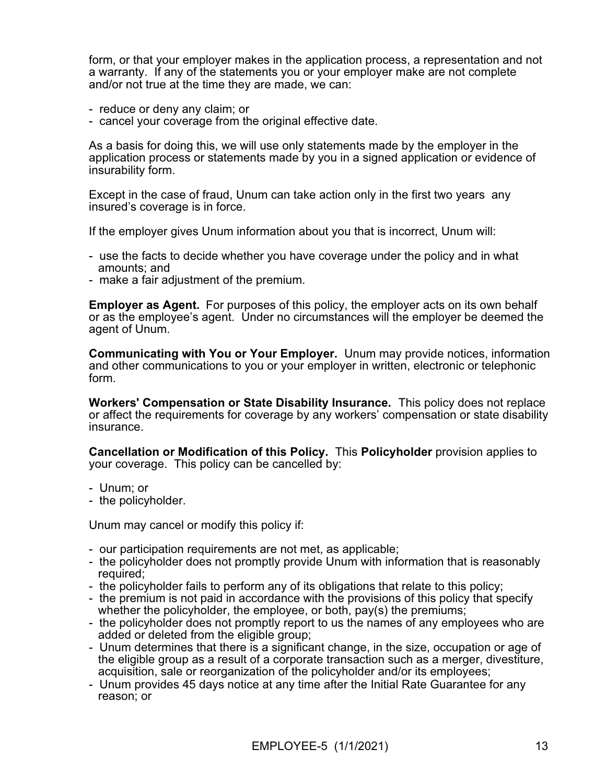form, or that your employer makes in the application process, a representation and not a warranty. If any of the statements you or your employer make are not complete and/or not true at the time they are made, we can:

- reduce or deny any claim; or
- cancel your coverage from the original effective date.

As a basis for doing this, we will use only statements made by the employer in the application process or statements made by you in a signed application or evidence of insurability form.

Except in the case of fraud, Unum can take action only in the first two years any insured's coverage is in force.

If the employer gives Unum information about you that is incorrect, Unum will:

- use the facts to decide whether you have coverage under the policy and in what amounts; and
- make a fair adjustment of the premium.

**Employer as Agent.** For purposes of this policy, the employer acts on its own behalf or as the employee's agent. Under no circumstances will the employer be deemed the agent of Unum.

**Communicating with You or Your Employer.** Unum may provide notices, information and other communications to you or your employer in written, electronic or telephonic form.

**Workers' Compensation or State Disability Insurance.** This policy does not replace or affect the requirements for coverage by any workers' compensation or state disability insurance.

**Cancellation or Modification of this Policy.** This **Policyholder** provision applies to your coverage. This policy can be cancelled by:

- Unum; or
- the policyholder.

Unum may cancel or modify this policy if:

- our participation requirements are not met, as applicable;
- the policyholder does not promptly provide Unum with information that is reasonably required;
- the policyholder fails to perform any of its obligations that relate to this policy;
- the premium is not paid in accordance with the provisions of this policy that specify whether the policyholder, the employee, or both, pay(s) the premiums;
- the policyholder does not promptly report to us the names of any employees who are added or deleted from the eligible group;
- Unum determines that there is a significant change, in the size, occupation or age of the eligible group as a result of a corporate transaction such as a merger, divestiture, acquisition, sale or reorganization of the policyholder and/or its employees;
- Unum provides 45 days notice at any time after the Initial Rate Guarantee for any reason; or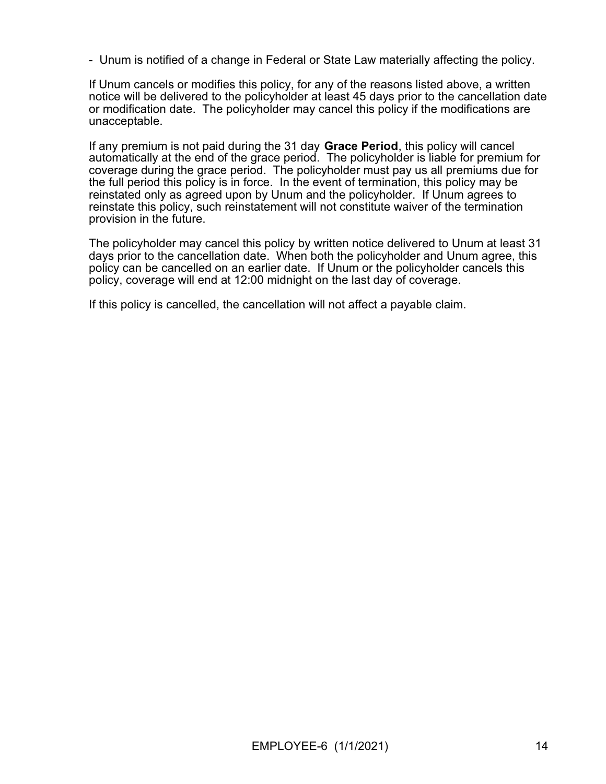- Unum is notified of a change in Federal or State Law materially affecting the policy.

If Unum cancels or modifies this policy, for any of the reasons listed above, a written notice will be delivered to the policyholder at least 45 days prior to the cancellation date or modification date. The policyholder may cancel this policy if the modifications are unacceptable.

If any premium is not paid during the 31 day **Grace Period**, this policy will cancel automatically at the end of the grace period. The policyholder is liable for premium for coverage during the grace period. The policyholder must pay us all premiums due for the full period this policy is in force. In the event of termination, this policy may be reinstated only as agreed upon by Unum and the policyholder. If Unum agrees to reinstate this policy, such reinstatement will not constitute waiver of the termination provision in the future.

The policyholder may cancel this policy by written notice delivered to Unum at least 31 days prior to the cancellation date. When both the policyholder and Unum agree, this policy can be cancelled on an earlier date. If Unum or the policyholder cancels this policy, coverage will end at 12:00 midnight on the last day of coverage.

If this policy is cancelled, the cancellation will not affect a payable claim.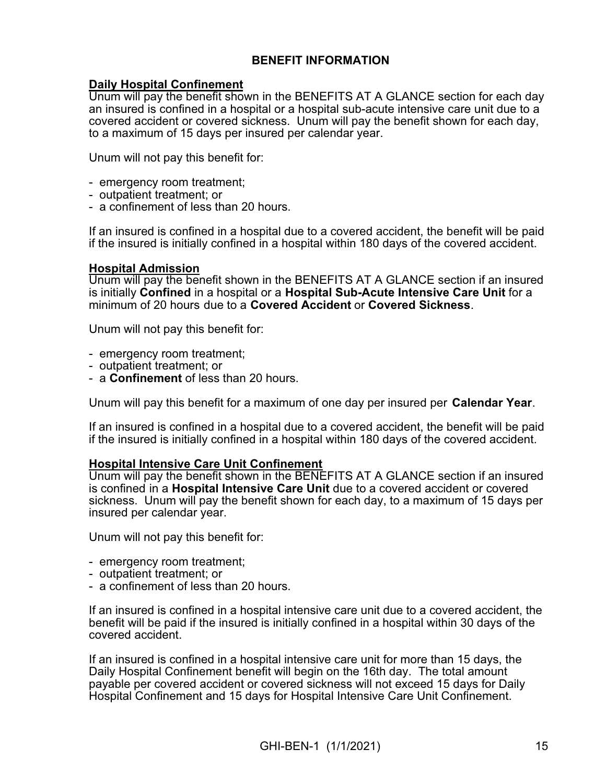### **BENEFIT INFORMATION**

#### **Daily Hospital Confinement**

Unum will pay the benefit shown in the BENEFITS AT A GLANCE section for each day an insured is confined in a hospital or a hospital sub-acute intensive care unit due to a covered accident or covered sickness. Unum will pay the benefit shown for each day, to a maximum of 15 days per insured per calendar year.

Unum will not pay this benefit for:

- emergency room treatment;
- outpatient treatment; or
- a confinement of less than 20 hours.

If an insured is confined in a hospital due to a covered accident, the benefit will be paid if the insured is initially confined in a hospital within 180 days of the covered accident.

#### **Hospital Admission**

Unum will pay the benefit shown in the BENEFITS AT A GLANCE section if an insured is initially **Confined** in a hospital or a **Hospital Sub-Acute Intensive Care Unit** for a minimum of 20 hours due to a **Covered Accident** or **Covered Sickness**.

Unum will not pay this benefit for:

- emergency room treatment;
- outpatient treatment; or
- a **Confinement** of less than 20 hours.

Unum will pay this benefit for a maximum of one day per insured per **Calendar Year**.

If an insured is confined in a hospital due to a covered accident, the benefit will be paid if the insured is initially confined in a hospital within 180 days of the covered accident.

#### **Hospital Intensive Care Unit Confinement**

Unum will pay the benefit shown in the BENEFITS AT A GLANCE section if an insured is confined in a **Hospital Intensive Care Unit** due to a covered accident or covered sickness. Unum will pay the benefit shown for each day, to a maximum of 15 days per insured per calendar year.

Unum will not pay this benefit for:

- emergency room treatment;
- outpatient treatment; or
- a confinement of less than 20 hours.

If an insured is confined in a hospital intensive care unit due to a covered accident, the benefit will be paid if the insured is initially confined in a hospital within 30 days of the covered accident.

If an insured is confined in a hospital intensive care unit for more than 15 days, the Daily Hospital Confinement benefit will begin on the 16th day. The total amount payable per covered accident or covered sickness will not exceed 15 days for Daily Hospital Confinement and 15 days for Hospital Intensive Care Unit Confinement.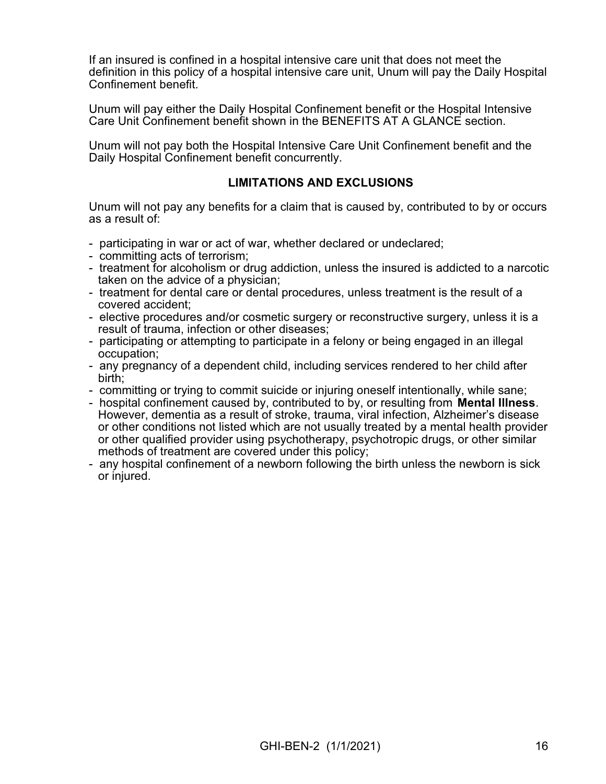If an insured is confined in a hospital intensive care unit that does not meet the definition in this policy of a hospital intensive care unit, Unum will pay the Daily Hospital Confinement benefit.

Unum will pay either the Daily Hospital Confinement benefit or the Hospital Intensive Care Unit Confinement benefit shown in the BENEFITS AT A GLANCE section.

Unum will not pay both the Hospital Intensive Care Unit Confinement benefit and the Daily Hospital Confinement benefit concurrently.

### **LIMITATIONS AND EXCLUSIONS**

Unum will not pay any benefits for a claim that is caused by, contributed to by or occurs as a result of:

- participating in war or act of war, whether declared or undeclared;
- committing acts of terrorism;
- treatment for alcoholism or drug addiction, unless the insured is addicted to a narcotic taken on the advice of a physician;
- treatment for dental care or dental procedures, unless treatment is the result of a covered accident;
- elective procedures and/or cosmetic surgery or reconstructive surgery, unless it is a result of trauma, infection or other diseases;
- participating or attempting to participate in a felony or being engaged in an illegal occupation;
- any pregnancy of a dependent child, including services rendered to her child after birth;
- committing or trying to commit suicide or injuring oneself intentionally, while sane;
- hospital confinement caused by, contributed to by, or resulting from **Mental Illness**. However, dementia as a result of stroke, trauma, viral infection, Alzheimer's disease or other conditions not listed which are not usually treated by a mental health provider or other qualified provider using psychotherapy, psychotropic drugs, or other similar methods of treatment are covered under this policy;
- any hospital confinement of a newborn following the birth unless the newborn is sick or injured.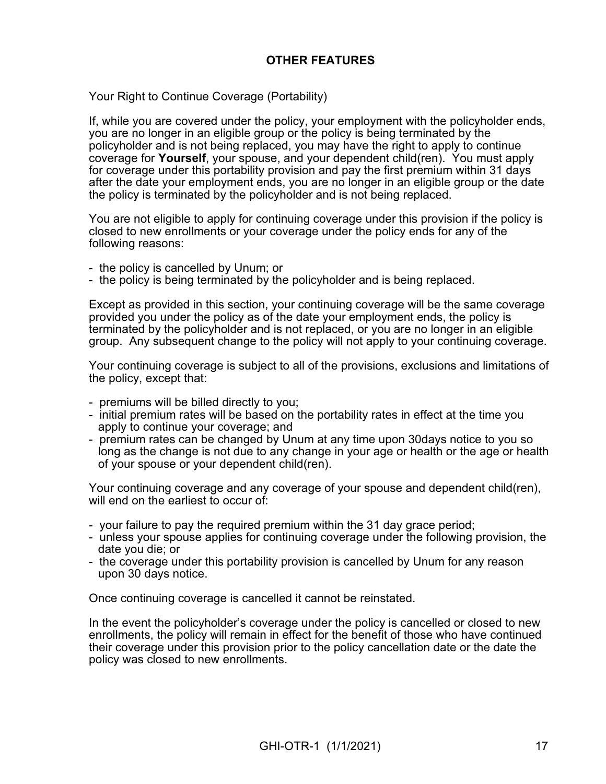### **OTHER FEATURES**

Your Right to Continue Coverage (Portability)

If, while you are covered under the policy, your employment with the policyholder ends, you are no longer in an eligible group or the policy is being terminated by the policyholder and is not being replaced, you may have the right to apply to continue coverage for **Yourself**, your spouse, and your dependent child(ren). You must apply for coverage under this portability provision and pay the first premium within 31 days after the date your employment ends, you are no longer in an eligible group or the date the policy is terminated by the policyholder and is not being replaced.

You are not eligible to apply for continuing coverage under this provision if the policy is closed to new enrollments or your coverage under the policy ends for any of the following reasons:

- the policy is cancelled by Unum; or
- the policy is being terminated by the policyholder and is being replaced.

Except as provided in this section, your continuing coverage will be the same coverage provided you under the policy as of the date your employment ends, the policy is terminated by the policyholder and is not replaced, or you are no longer in an eligible group. Any subsequent change to the policy will not apply to your continuing coverage.

Your continuing coverage is subject to all of the provisions, exclusions and limitations of the policy, except that:

- premiums will be billed directly to you;
- initial premium rates will be based on the portability rates in effect at the time you apply to continue your coverage; and
- premium rates can be changed by Unum at any time upon 30days notice to you so long as the change is not due to any change in your age or health or the age or health of your spouse or your dependent child(ren).

Your continuing coverage and any coverage of your spouse and dependent child(ren), will end on the earliest to occur of:

- your failure to pay the required premium within the 31 day grace period;
- unless your spouse applies for continuing coverage under the following provision, the date you die; or
- the coverage under this portability provision is cancelled by Unum for any reason upon 30 days notice.

Once continuing coverage is cancelled it cannot be reinstated.

In the event the policyholder's coverage under the policy is cancelled or closed to new enrollments, the policy will remain in effect for the benefit of those who have continued their coverage under this provision prior to the policy cancellation date or the date the policy was closed to new enrollments.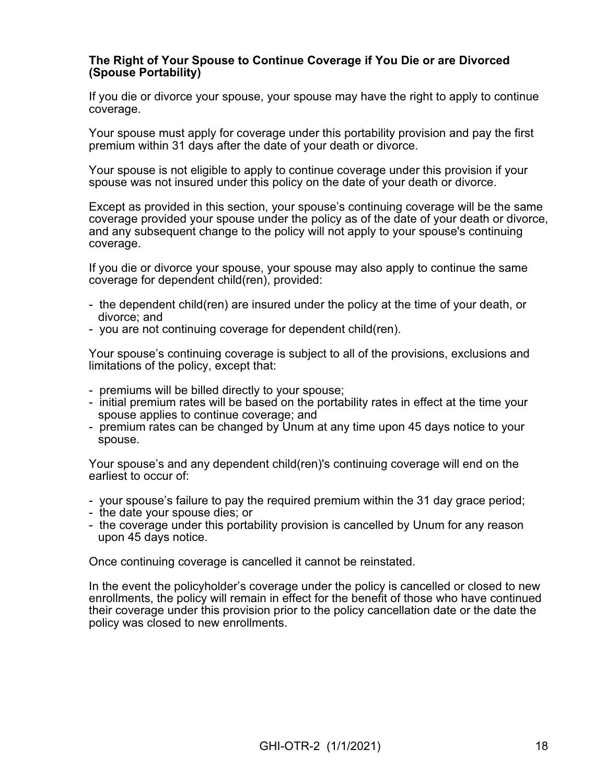#### **The Right of Your Spouse to Continue Coverage if You Die or are Divorced (Spouse Portability)**

If you die or divorce your spouse, your spouse may have the right to apply to continue coverage.

Your spouse must apply for coverage under this portability provision and pay the first premium within 31 days after the date of your death or divorce.

Your spouse is not eligible to apply to continue coverage under this provision if your spouse was not insured under this policy on the date of your death or divorce.

Except as provided in this section, your spouse's continuing coverage will be the same coverage provided your spouse under the policy as of the date of your death or divorce, and any subsequent change to the policy will not apply to your spouse's continuing coverage.

If you die or divorce your spouse, your spouse may also apply to continue the same coverage for dependent child(ren), provided:

- the dependent child(ren) are insured under the policy at the time of your death, or divorce; and
- you are not continuing coverage for dependent child(ren).

Your spouse's continuing coverage is subject to all of the provisions, exclusions and limitations of the policy, except that:

- premiums will be billed directly to your spouse;
- initial premium rates will be based on the portability rates in effect at the time your spouse applies to continue coverage; and
- premium rates can be changed by Unum at any time upon 45 days notice to your spouse.

Your spouse's and any dependent child(ren)'s continuing coverage will end on the earliest to occur of:

- your spouse's failure to pay the required premium within the 31 day grace period;
- the date your spouse dies; or
- the coverage under this portability provision is cancelled by Unum for any reason upon 45 days notice.

Once continuing coverage is cancelled it cannot be reinstated.

In the event the policyholder's coverage under the policy is cancelled or closed to new enrollments, the policy will remain in effect for the benefit of those who have continued their coverage under this provision prior to the policy cancellation date or the date the policy was closed to new enrollments.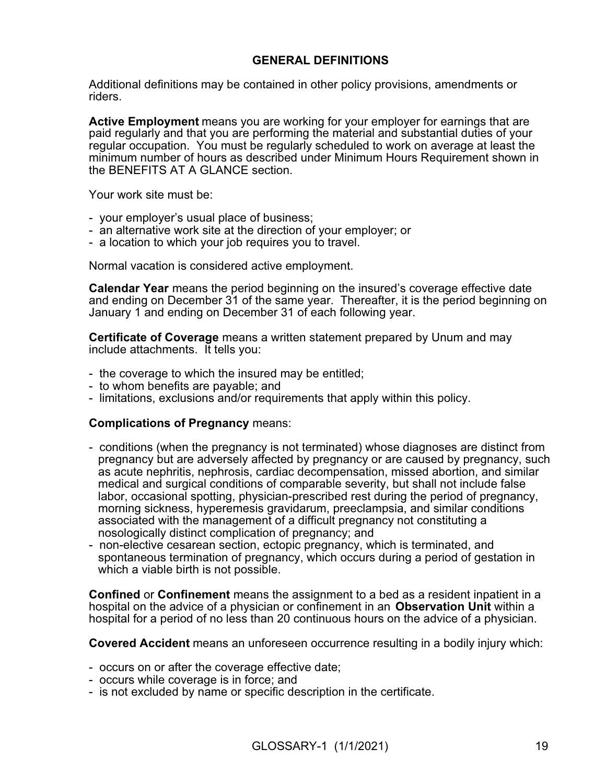### **GENERAL DEFINITIONS**

Additional definitions may be contained in other policy provisions, amendments or riders.

**Active Employment** means you are working for your employer for earnings that are paid regularly and that you are performing the material and substantial duties of your regular occupation. You must be regularly scheduled to work on average at least the minimum number of hours as described under Minimum Hours Requirement shown in the BENEFITS AT A GLANCE section.

Your work site must be:

- your employer's usual place of business;
- an alternative work site at the direction of your employer; or
- a location to which your job requires you to travel.

Normal vacation is considered active employment.

**Calendar Year** means the period beginning on the insured's coverage effective date and ending on December 31 of the same year. Thereafter, it is the period beginning on January 1 and ending on December 31 of each following year.

**Certificate of Coverage** means a written statement prepared by Unum and may include attachments. It tells you:

- the coverage to which the insured may be entitled;
- to whom benefits are payable; and
- limitations, exclusions and/or requirements that apply within this policy.

#### **Complications of Pregnancy** means:

- conditions (when the pregnancy is not terminated) whose diagnoses are distinct from pregnancy but are adversely affected by pregnancy or are caused by pregnancy, such as acute nephritis, nephrosis, cardiac decompensation, missed abortion, and similar medical and surgical conditions of comparable severity, but shall not include false labor, occasional spotting, physician-prescribed rest during the period of pregnancy, morning sickness, hyperemesis gravidarum, preeclampsia, and similar conditions associated with the management of a difficult pregnancy not constituting a nosologically distinct complication of pregnancy; and
- non-elective cesarean section, ectopic pregnancy, which is terminated, and spontaneous termination of pregnancy, which occurs during a period of gestation in which a viable birth is not possible.

**Confined** or **Confinement** means the assignment to a bed as a resident inpatient in a hospital on the advice of a physician or confinement in an **Observation Unit** within a hospital for a period of no less than 20 continuous hours on the advice of a physician.

**Covered Accident** means an unforeseen occurrence resulting in a bodily injury which:

- occurs on or after the coverage effective date;
- occurs while coverage is in force; and
- is not excluded by name or specific description in the certificate.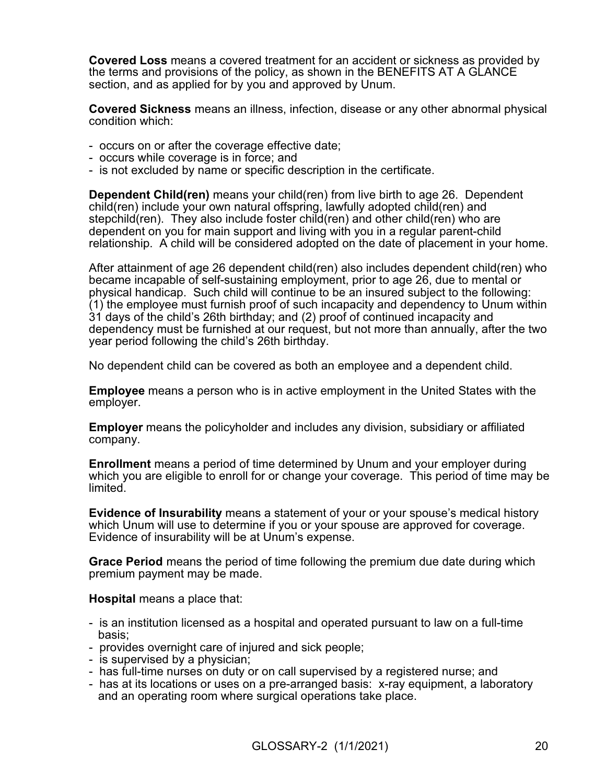**Covered Loss** means a covered treatment for an accident or sickness as provided by the terms and provisions of the policy, as shown in the BENEFITS AT A GLANCE section, and as applied for by you and approved by Unum.

**Covered Sickness** means an illness, infection, disease or any other abnormal physical condition which:

- occurs on or after the coverage effective date;
- occurs while coverage is in force; and
- is not excluded by name or specific description in the certificate.

**Dependent Child(ren)** means your child(ren) from live birth to age 26. Dependent child(ren) include your own natural offspring, lawfully adopted child(ren) and stepchild(ren). They also include foster child(ren) and other child(ren) who are dependent on you for main support and living with you in a regular parent-child relationship. A child will be considered adopted on the date of placement in your home.

After attainment of age 26 dependent child(ren) also includes dependent child(ren) who became incapable of self-sustaining employment, prior to age 26, due to mental or physical handicap. Such child will continue to be an insured subject to the following: (1) the employee must furnish proof of such incapacity and dependency to Unum within 31 days of the child's 26th birthday; and (2) proof of continued incapacity and dependency must be furnished at our request, but not more than annually, after the two year period following the child's 26th birthday.

No dependent child can be covered as both an employee and a dependent child.

**Employee** means a person who is in active employment in the United States with the employer.

**Employer** means the policyholder and includes any division, subsidiary or affiliated company.

**Enrollment** means a period of time determined by Unum and your employer during which you are eligible to enroll for or change your coverage. This period of time may be limited.

**Evidence of Insurability** means a statement of your or your spouse's medical history which Unum will use to determine if you or your spouse are approved for coverage. Evidence of insurability will be at Unum's expense.

**Grace Period** means the period of time following the premium due date during which premium payment may be made.

**Hospital** means a place that:

- is an institution licensed as a hospital and operated pursuant to law on a full-time basis;
- provides overnight care of injured and sick people;
- is supervised by a physician;
- has full-time nurses on duty or on call supervised by a registered nurse; and
- has at its locations or uses on a pre-arranged basis: x-ray equipment, a laboratory and an operating room where surgical operations take place.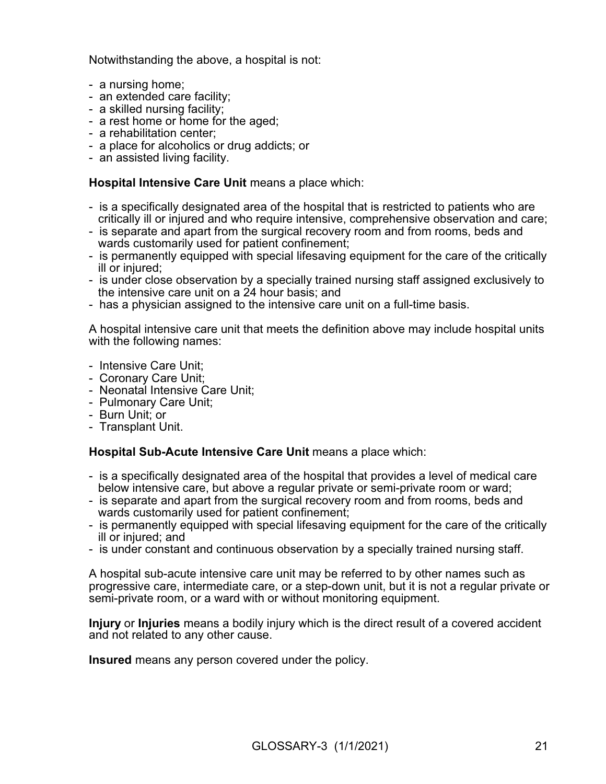Notwithstanding the above, a hospital is not:

- a nursing home;
- an extended care facility;
- a skilled nursing facility;
- a rest home or home for the aged;
- a rehabilitation center;
- a place for alcoholics or drug addicts; or
- an assisted living facility.

#### **Hospital Intensive Care Unit** means a place which:

- is a specifically designated area of the hospital that is restricted to patients who are critically ill or injured and who require intensive, comprehensive observation and care;
- is separate and apart from the surgical recovery room and from rooms, beds and wards customarily used for patient confinement;
- is permanently equipped with special lifesaving equipment for the care of the critically ill or injured:
- is under close observation by a specially trained nursing staff assigned exclusively to the intensive care unit on a 24 hour basis; and
- has a physician assigned to the intensive care unit on a full-time basis.

A hospital intensive care unit that meets the definition above may include hospital units with the following names:

- Intensive Care Unit;
- Coronary Care Unit;
- Neonatal Intensive Care Unit;
- Pulmonary Care Unit;
- Burn Unit; or
- Transplant Unit.

### **Hospital Sub-Acute Intensive Care Unit** means a place which:

- is a specifically designated area of the hospital that provides a level of medical care below intensive care, but above a regular private or semi-private room or ward;
- is separate and apart from the surgical recovery room and from rooms, beds and wards customarily used for patient confinement;
- is permanently equipped with special lifesaving equipment for the care of the critically ill or injured; and
- is under constant and continuous observation by a specially trained nursing staff.

A hospital sub-acute intensive care unit may be referred to by other names such as progressive care, intermediate care, or a step-down unit, but it is not a regular private or semi-private room, or a ward with or without monitoring equipment.

**Injury** or **Injuries** means a bodily injury which is the direct result of a covered accident and not related to any other cause.

**Insured** means any person covered under the policy.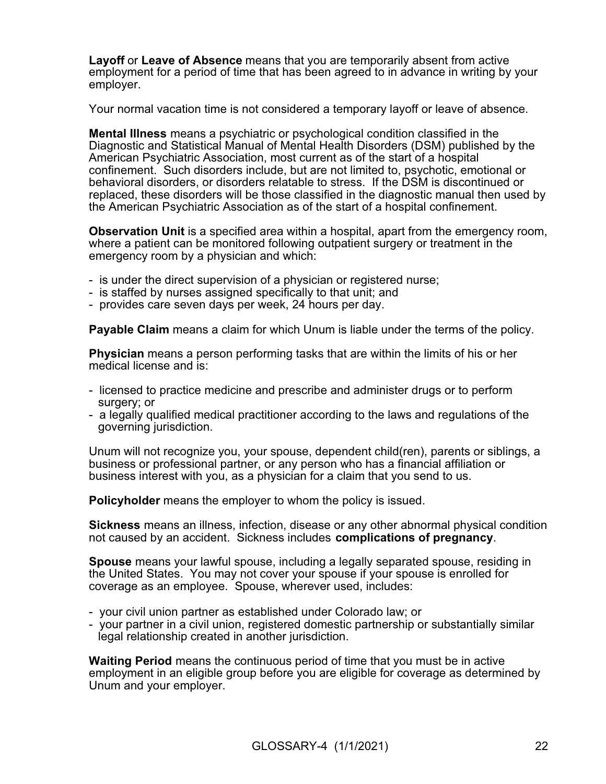**Layoff** or **Leave of Absence** means that you are temporarily absent from active employment for a period of time that has been agreed to in advance in writing by your employer.

Your normal vacation time is not considered a temporary layoff or leave of absence.

**Mental Illness** means a psychiatric or psychological condition classified in the Diagnostic and Statistical Manual of Mental Health Disorders (DSM) published by the American Psychiatric Association, most current as of the start of a hospital confinement. Such disorders include, but are not limited to, psychotic, emotional or behavioral disorders, or disorders relatable to stress. If the DSM is discontinued or replaced, these disorders will be those classified in the diagnostic manual then used by the American Psychiatric Association as of the start of a hospital confinement.

**Observation Unit** is a specified area within a hospital, apart from the emergency room, where a patient can be monitored following outpatient surgery or treatment in the emergency room by a physician and which:

- is under the direct supervision of a physician or registered nurse;
- is staffed by nurses assigned specifically to that unit; and
- provides care seven days per week, 24 hours per day.

**Payable Claim** means a claim for which Unum is liable under the terms of the policy.

**Physician** means a person performing tasks that are within the limits of his or her medical license and is:

- licensed to practice medicine and prescribe and administer drugs or to perform surgery; or
- a legally qualified medical practitioner according to the laws and regulations of the governing jurisdiction.

Unum will not recognize you, your spouse, dependent child(ren), parents or siblings, a business or professional partner, or any person who has a financial affiliation or business interest with you, as a physician for a claim that you send to us.

**Policyholder** means the employer to whom the policy is issued.

**Sickness** means an illness, infection, disease or any other abnormal physical condition not caused by an accident. Sickness includes **complications of pregnancy**.

**Spouse** means your lawful spouse, including a legally separated spouse, residing in the United States. You may not cover your spouse if your spouse is enrolled for coverage as an employee. Spouse, wherever used, includes:

- your civil union partner as established under Colorado law; or
- your partner in a civil union, registered domestic partnership or substantially similar legal relationship created in another jurisdiction.

**Waiting Period** means the continuous period of time that you must be in active employment in an eligible group before you are eligible for coverage as determined by Unum and your employer.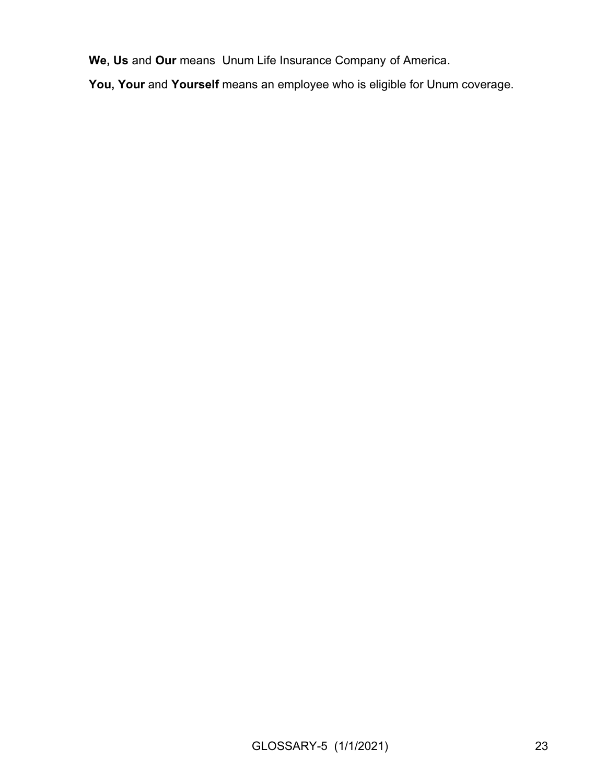**We, Us** and **Our** means Unum Life Insurance Company of America.

**You, Your** and **Yourself** means an employee who is eligible for Unum coverage.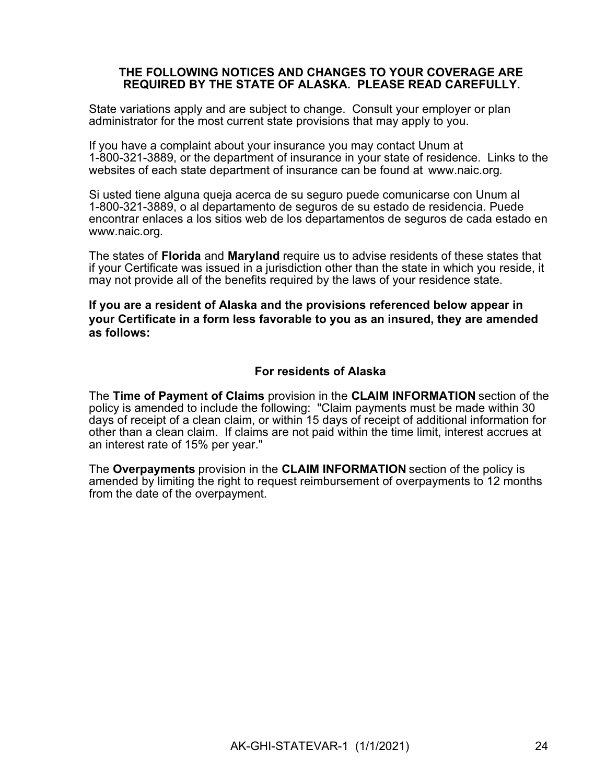#### **THE FOLLOWING NOTICES AND CHANGES TO YOUR COVERAGE ARE REQUIRED BY THE STATE OF ALASKA. PLEASE READ CAREFULLY.**

State variations apply and are subject to change. Consult your employer or plan administrator for the most current state provisions that may apply to you.

If you have a complaint about your insurance you may contact Unum at 1-800-321-3889, or the department of insurance in your state of residence. Links to the websites of each state department of insurance can be found at [www.naic.org](http://www.naic.org/).

Si usted tiene alguna queja acerca de su seguro puede comunicarse con Unum al 1-800-321-3889, o al departamento de seguros de su estado de residencia. Puede encontrar enlaces a los sitios web de los departamentos de seguros de cada estado en [www.naic.org.](http://www.naic.org)

The states of **Florida** and **Maryland** require us to advise residents of these states that if your Certificate was issued in a jurisdiction other than the state in which you reside, it may not provide all of the benefits required by the laws of your residence state.

**If you are a resident of Alaska and the provisions referenced below appear in your Certificate in a form less favorable to you as an insured, they are amended as follows:**

#### **For residents of Alaska**

The **Time of Payment of Claims** provision in the **CLAIM INFORMATION** section of the policy is amended to include the following: "Claim payments must be made within 30 days of receipt of a clean claim, or within 15 days of receipt of additional information for other than a clean claim. If claims are not paid within the time limit, interest accrues at an interest rate of 15% per year."

The **Overpayments** provision in the **CLAIM INFORMATION** section of the policy is amended by limiting the right to request reimbursement of overpayments to 12 months from the date of the overpayment.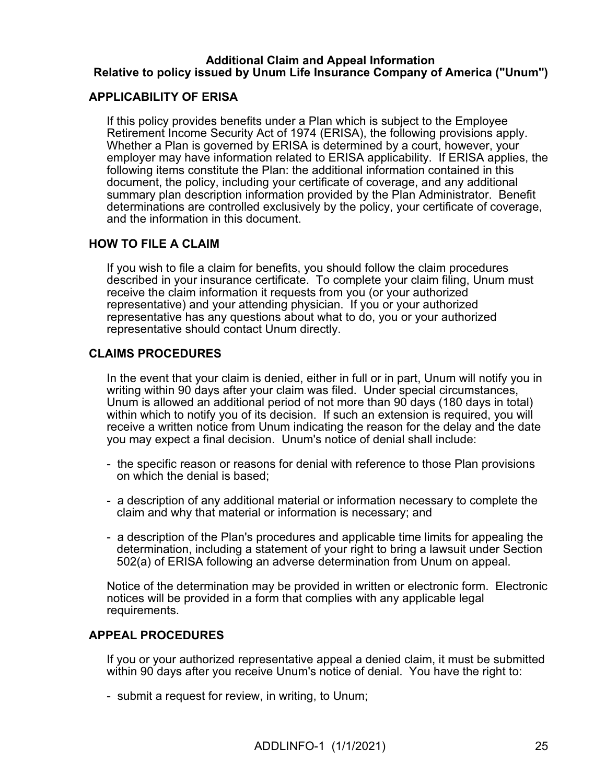#### **Additional Claim and Appeal Information Relative to policy issued by Unum Life Insurance Company of America ("Unum")**

#### **APPLICABILITY OF ERISA**

If this policy provides benefits under a Plan which is subject to the Employee Retirement Income Security Act of 1974 (ERISA), the following provisions apply. Whether a Plan is governed by ERISA is determined by a court, however, your employer may have information related to ERISA applicability. If ERISA applies, the following items constitute the Plan: the additional information contained in this document, the policy, including your certificate of coverage, and any additional summary plan description information provided by the Plan Administrator. Benefit determinations are controlled exclusively by the policy, your certificate of coverage, and the information in this document.

#### **HOW TO FILE A CLAIM**

If you wish to file a claim for benefits, you should follow the claim procedures described in your insurance certificate. To complete your claim filing, Unum must receive the claim information it requests from you (or your authorized representative) and your attending physician. If you or your authorized representative has any questions about what to do, you or your authorized representative should contact Unum directly.

### **CLAIMS PROCEDURES**

In the event that your claim is denied, either in full or in part, Unum will notify you in writing within 90 days after your claim was filed. Under special circumstances, Unum is allowed an additional period of not more than 90 days (180 days in total) within which to notify you of its decision. If such an extension is required, you will receive a written notice from Unum indicating the reason for the delay and the date you may expect a final decision. Unum's notice of denial shall include:

- the specific reason or reasons for denial with reference to those Plan provisions on which the denial is based;
- a description of any additional material or information necessary to complete the claim and why that material or information is necessary; and
- a description of the Plan's procedures and applicable time limits for appealing the determination, including a statement of your right to bring a lawsuit under Section 502(a) of ERISA following an adverse determination from Unum on appeal.

Notice of the determination may be provided in written or electronic form. Electronic notices will be provided in a form that complies with any applicable legal requirements.

#### **APPEAL PROCEDURES**

If you or your authorized representative appeal a denied claim, it must be submitted within 90 days after you receive Unum's notice of denial. You have the right to:

- submit a request for review, in writing, to Unum;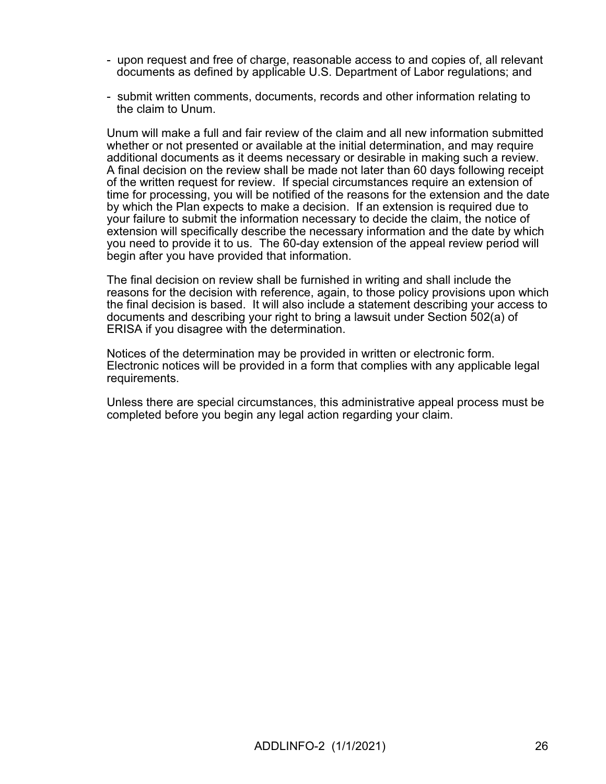- upon request and free of charge, reasonable access to and copies of, all relevant documents as defined by applicable U.S. Department of Labor regulations; and
- submit written comments, documents, records and other information relating to the claim to Unum.

Unum will make a full and fair review of the claim and all new information submitted whether or not presented or available at the initial determination, and may require additional documents as it deems necessary or desirable in making such a review. A final decision on the review shall be made not later than 60 days following receipt of the written request for review. If special circumstances require an extension of time for processing, you will be notified of the reasons for the extension and the date by which the Plan expects to make a decision. If an extension is required due to your failure to submit the information necessary to decide the claim, the notice of extension will specifically describe the necessary information and the date by which you need to provide it to us. The 60-day extension of the appeal review period will begin after you have provided that information.

The final decision on review shall be furnished in writing and shall include the reasons for the decision with reference, again, to those policy provisions upon which the final decision is based. It will also include a statement describing your access to documents and describing your right to bring a lawsuit under Section 502(a) of ERISA if you disagree with the determination.

Notices of the determination may be provided in written or electronic form. Electronic notices will be provided in a form that complies with any applicable legal requirements.

Unless there are special circumstances, this administrative appeal process must be completed before you begin any legal action regarding your claim.